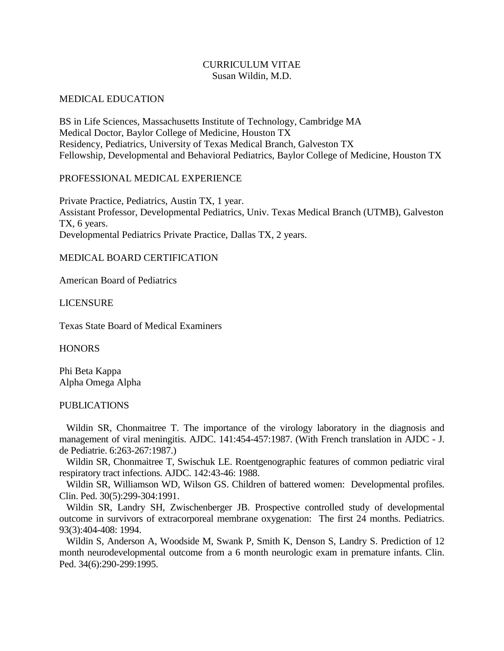# CURRICULUM VITAE Susan Wildin, M.D.

#### MEDICAL EDUCATION

BS in Life Sciences, Massachusetts Institute of Technology, Cambridge MA Medical Doctor, Baylor College of Medicine, Houston TX Residency, Pediatrics, University of Texas Medical Branch, Galveston TX Fellowship, Developmental and Behavioral Pediatrics, Baylor College of Medicine, Houston TX

## PROFESSIONAL MEDICAL EXPERIENCE

Private Practice, Pediatrics, Austin TX, 1 year. Assistant Professor, Developmental Pediatrics, Univ. Texas Medical Branch (UTMB), Galveston TX, 6 years. Developmental Pediatrics Private Practice, Dallas TX, 2 years.

## MEDICAL BOARD CERTIFICATION

American Board of Pediatrics

### LICENSURE

Texas State Board of Medical Examiners

**HONORS** 

Phi Beta Kappa Alpha Omega Alpha

#### PUBLICATIONS

Wildin SR, Chonmaitree T. The importance of the virology laboratory in the diagnosis and management of viral meningitis. AJDC. 141:454-457:1987. (With French translation in AJDC - J. de Pediatrie. 6:263-267:1987.)

 Wildin SR, Chonmaitree T, Swischuk LE. Roentgenographic features of common pediatric viral respiratory tract infections. AJDC. 142:43-46: 1988.

 Wildin SR, Williamson WD, Wilson GS. Children of battered women: Developmental profiles. Clin. Ped. 30(5):299-304:1991.

 Wildin SR, Landry SH, Zwischenberger JB. Prospective controlled study of developmental outcome in survivors of extracorporeal membrane oxygenation: The first 24 months. Pediatrics. 93(3):404-408: 1994.

 Wildin S, Anderson A, Woodside M, Swank P, Smith K, Denson S, Landry S. Prediction of 12 month neurodevelopmental outcome from a 6 month neurologic exam in premature infants. Clin. Ped. 34(6):290-299:1995.